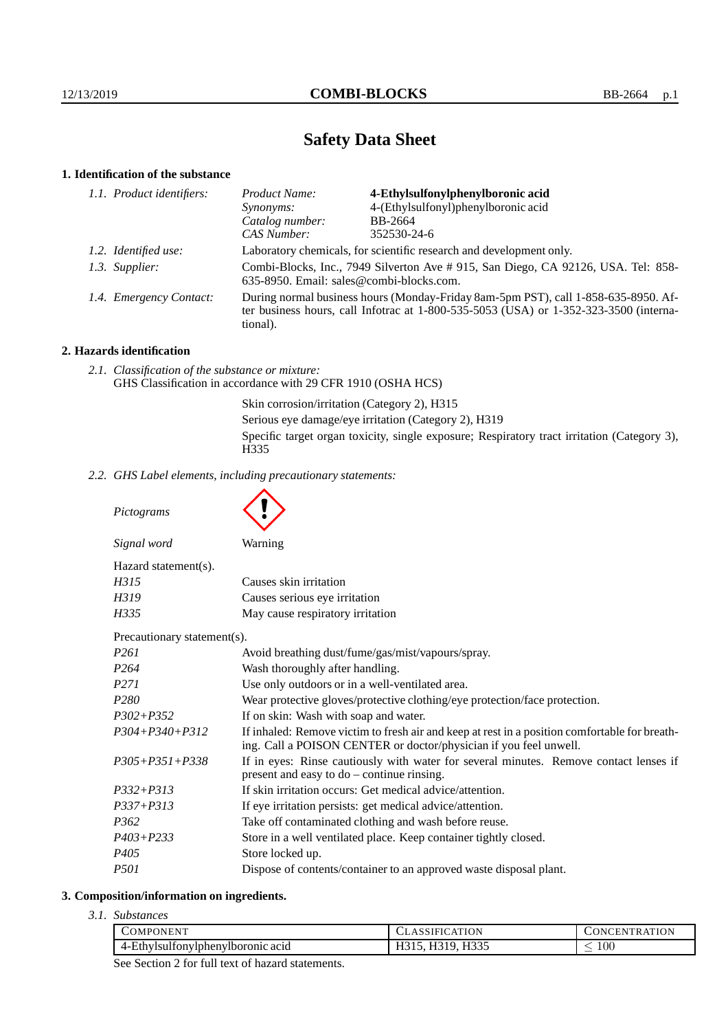# **Safety Data Sheet**

# **1. Identification of the substance**

| 1.1. Product identifiers: | Product Name:                                                                                                                                                                               | 4-Ethylsulfonylphenylboronic acid   |
|---------------------------|---------------------------------------------------------------------------------------------------------------------------------------------------------------------------------------------|-------------------------------------|
|                           | Synonyms:                                                                                                                                                                                   | 4-(Ethylsulfonyl)phenylboronic acid |
|                           | Catalog number:                                                                                                                                                                             | BB-2664                             |
|                           | CAS Number:                                                                                                                                                                                 | 352530-24-6                         |
| 1.2. Identified use:      | Laboratory chemicals, for scientific research and development only.                                                                                                                         |                                     |
| 1.3. Supplier:            | Combi-Blocks, Inc., 7949 Silverton Ave # 915, San Diego, CA 92126, USA. Tel: 858-<br>635-8950. Email: sales@combi-blocks.com.                                                               |                                     |
| 1.4. Emergency Contact:   | During normal business hours (Monday-Friday 8am-5pm PST), call 1-858-635-8950. Af-<br>ter business hours, call Infotrac at $1-800-535-5053$ (USA) or $1-352-323-3500$ (interna-<br>tional). |                                     |

## **2. Hazards identification**

*2.1. Classification of the substance or mixture:* GHS Classification in accordance with 29 CFR 1910 (OSHA HCS)

> Skin corrosion/irritation (Category 2), H315 Serious eye damage/eye irritation (Category 2), H319 Specific target organ toxicity, single exposure; Respiratory tract irritation (Category 3), H335

*2.2. GHS Label elements, including precautionary statements:*

*Pictograms*

 $\blacktriangle$ 

| Signal word                 | Warning                                           |
|-----------------------------|---------------------------------------------------|
| $Hazard statement(s)$ .     |                                                   |
| H315                        | Causes skin irritation                            |
| H319                        | Causes serious eye irritation                     |
| H335                        | May cause respiratory irritation                  |
| Precautionary statement(s). |                                                   |
| P <sub>261</sub>            | Avoid breathing dust/fume/gas/mist/vapours/spray. |
| P <sub>264</sub>            | Wash thoroughly after handling.                   |
| <i>P271</i>                 | Use only outdoors or in a well-ventilated area.   |

| 1204                 | wash thoroughly after handling.                                                                                                                                    |
|----------------------|--------------------------------------------------------------------------------------------------------------------------------------------------------------------|
| <i>P271</i>          | Use only outdoors or in a well-ventilated area.                                                                                                                    |
| P <sub>280</sub>     | Wear protective gloves/protective clothing/eye protection/face protection.                                                                                         |
| $P302 + P352$        | If on skin: Wash with soap and water.                                                                                                                              |
| $P304 + P340 + P312$ | If inhaled: Remove victim to fresh air and keep at rest in a position comfortable for breath-<br>ing. Call a POISON CENTER or doctor/physician if you feel unwell. |
| $P305 + P351 + P338$ | If in eyes: Rinse cautiously with water for several minutes. Remove contact lenses if<br>present and easy to $do$ – continue rinsing.                              |
| $P332 + P313$        | If skin irritation occurs: Get medical advice/attention.                                                                                                           |
| $P337 + P313$        | If eye irritation persists: get medical advice/attention.                                                                                                          |
| P <sub>362</sub>     | Take off contaminated clothing and wash before reuse.                                                                                                              |
| $P403 + P233$        | Store in a well ventilated place. Keep container tightly closed.                                                                                                   |
| P405                 | Store locked up.                                                                                                                                                   |
| <i>P501</i>          | Dispose of contents/container to an approved waste disposal plant.                                                                                                 |
|                      |                                                                                                                                                                    |

#### **3. Composition/information on ingredients.**

*3.1. Substances*

| DMPONEN'                          | <b>TION</b><br>IFIO<br>ΑI | <b>RATION</b><br>$\sum$<br>∗N∴ |
|-----------------------------------|---------------------------|--------------------------------|
| 4-Ethylsultonylphenylboromic acid | H335<br>.<br>ᅭ            | $100\,$<br>_                   |
|                                   |                           |                                |

See Section 2 for full text of hazard statements.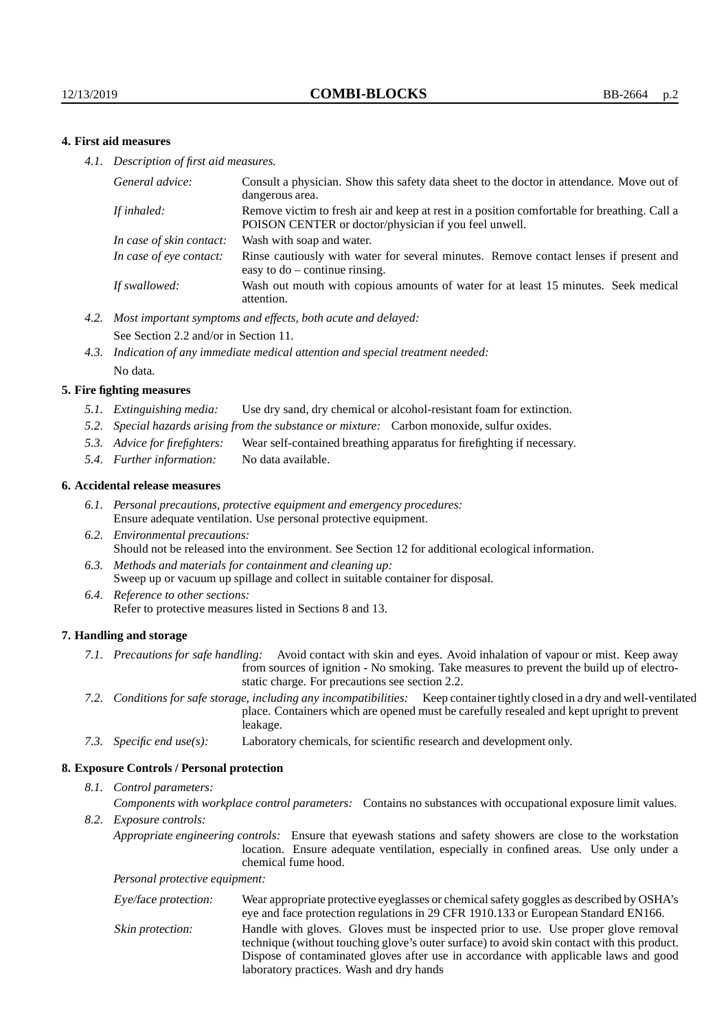## **4. First aid measures**

*4.1. Description of first aid measures.*

| Consult a physician. Show this safety data sheet to the doctor in attendance. Move out of<br>dangerous area.                                         |
|------------------------------------------------------------------------------------------------------------------------------------------------------|
| Remove victim to fresh air and keep at rest in a position comfortable for breathing. Call a<br>POISON CENTER or doctor/physician if you feel unwell. |
| Wash with soap and water.                                                                                                                            |
| Rinse cautiously with water for several minutes. Remove contact lenses if present and<br>easy to $do$ – continue rinsing.                            |
| Wash out mouth with copious amounts of water for at least 15 minutes. Seek medical<br>attention.                                                     |
|                                                                                                                                                      |

- *4.2. Most important symptoms and effects, both acute and delayed:* See Section 2.2 and/or in Section 11.
- *4.3. Indication of any immediate medical attention and special treatment needed:* No data.

#### **5. Fire fighting measures**

- *5.1. Extinguishing media:* Use dry sand, dry chemical or alcohol-resistant foam for extinction.
- *5.2. Special hazards arising from the substance or mixture:* Carbon monoxide, sulfur oxides.
- *5.3. Advice for firefighters:* Wear self-contained breathing apparatus for firefighting if necessary.
- *5.4. Further information:* No data available.

#### **6. Accidental release measures**

- *6.1. Personal precautions, protective equipment and emergency procedures:* Ensure adequate ventilation. Use personal protective equipment.
- *6.2. Environmental precautions:* Should not be released into the environment. See Section 12 for additional ecological information.
- *6.3. Methods and materials for containment and cleaning up:* Sweep up or vacuum up spillage and collect in suitable container for disposal.
- *6.4. Reference to other sections:* Refer to protective measures listed in Sections 8 and 13.

#### **7. Handling and storage**

- *7.1. Precautions for safe handling:* Avoid contact with skin and eyes. Avoid inhalation of vapour or mist. Keep away from sources of ignition - No smoking. Take measures to prevent the build up of electrostatic charge. For precautions see section 2.2.
- *7.2. Conditions for safe storage, including any incompatibilities:* Keep container tightly closed in a dry and well-ventilated place. Containers which are opened must be carefully resealed and kept upright to prevent leakage.
- *7.3. Specific end use(s):* Laboratory chemicals, for scientific research and development only.

#### **8. Exposure Controls / Personal protection**

*8.1. Control parameters:*

*Components with workplace control parameters:* Contains no substances with occupational exposure limit values.

*8.2. Exposure controls:*

*Appropriate engineering controls:* Ensure that eyewash stations and safety showers are close to the workstation location. Ensure adequate ventilation, especially in confined areas. Use only under a chemical fume hood.

*Personal protective equipment:*

| Eye/face protection: | Wear appropriate protective eyeglasses or chemical safety goggles as described by OSHA's<br>eye and face protection regulations in 29 CFR 1910.133 or European Standard EN166.                                                                                                                                         |
|----------------------|------------------------------------------------------------------------------------------------------------------------------------------------------------------------------------------------------------------------------------------------------------------------------------------------------------------------|
| Skin protection:     | Handle with gloves. Gloves must be inspected prior to use. Use proper glove removal<br>technique (without touching glove's outer surface) to avoid skin contact with this product.<br>Dispose of contaminated gloves after use in accordance with applicable laws and good<br>laboratory practices. Wash and dry hands |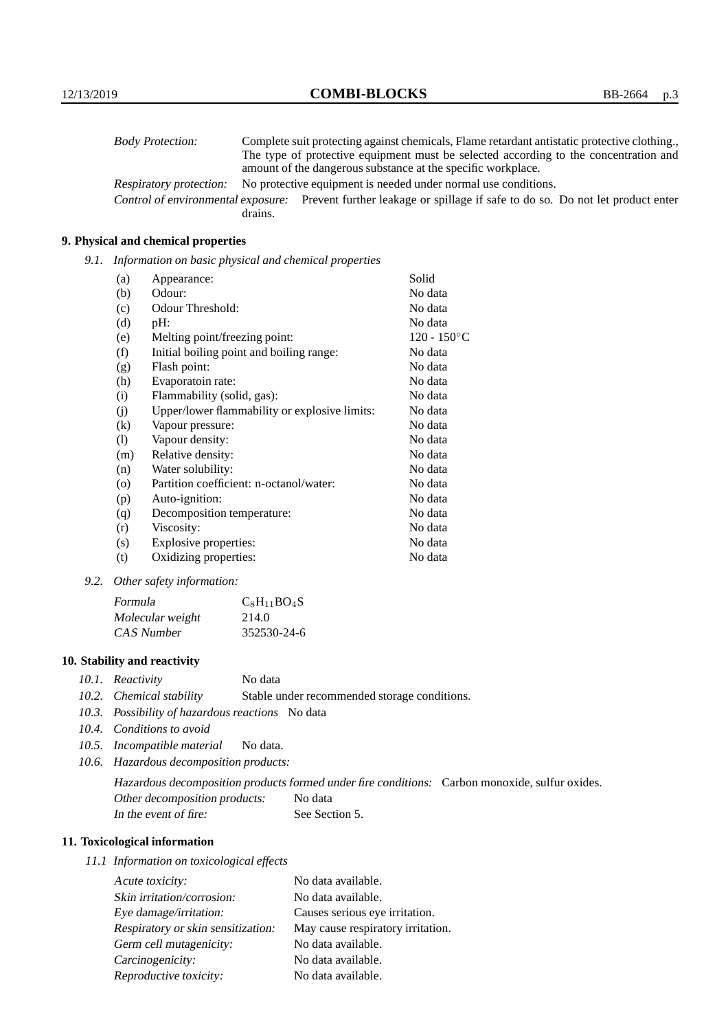| <b>Body Protection:</b> |         | Complete suit protecting against chemicals, Flame retardant antistatic protective clothing.                       |
|-------------------------|---------|-------------------------------------------------------------------------------------------------------------------|
|                         |         | The type of protective equipment must be selected according to the concentration and                              |
|                         |         | amount of the dangerous substance at the specific workplace.                                                      |
| Respiratory protection: |         | No protective equipment is needed under normal use conditions.                                                    |
|                         |         | Control of environmental exposure: Prevent further leakage or spillage if safe to do so. Do not let product enter |
|                         | drains. |                                                                                                                   |

## **9. Physical and chemical properties**

*9.1. Information on basic physical and chemical properties*

| (a)               | Appearance:                                   | Solid          |
|-------------------|-----------------------------------------------|----------------|
| (b)               | Odour:                                        | No data        |
| (c)               | Odour Threshold:                              | No data        |
| (d)               | pH:                                           | No data        |
| (e)               | Melting point/freezing point:                 | $120 - 150$ °C |
| (f)               | Initial boiling point and boiling range:      | No data        |
| (g)               | Flash point:                                  | No data        |
| (h)               | Evaporatoin rate:                             | No data        |
| (i)               | Flammability (solid, gas):                    | No data        |
| (j)               | Upper/lower flammability or explosive limits: | No data        |
| $\left( k\right)$ | Vapour pressure:                              | No data        |
| (1)               | Vapour density:                               | No data        |
| (m)               | Relative density:                             | No data        |
| (n)               | Water solubility:                             | No data        |
| $\circ$           | Partition coefficient: n-octanol/water:       | No data        |
| (p)               | Auto-ignition:                                | No data        |
| (q)               | Decomposition temperature:                    | No data        |
| (r)               | Viscosity:                                    | No data        |
| (s)               | Explosive properties:                         | No data        |
| (t)               | Oxidizing properties:                         | No data        |

*9.2. Other safety information:*

| Formula          | $C_8H_{11}BO_4S$ |
|------------------|------------------|
| Molecular weight | 214.0            |
| CAS Number       | 352530-24-6      |

## **10. Stability and reactivity**

- *10.1. Reactivity* No data
- *10.2. Chemical stability* Stable under recommended storage conditions.
- *10.3. Possibility of hazardous reactions* No data
- *10.4. Conditions to avoid*
- *10.5. Incompatible material* No data.
- *10.6. Hazardous decomposition products:*

Hazardous decomposition products formed under fire conditions: Carbon monoxide, sulfur oxides. Other decomposition products: No data In the event of fire: See Section 5.

## **11. Toxicological information**

*11.1 Information on toxicological effects*

| Acute toxicity:                    | No data available.                |
|------------------------------------|-----------------------------------|
| Skin irritation/corrosion:         | No data available.                |
| Eye damage/irritation:             | Causes serious eye irritation.    |
| Respiratory or skin sensitization: | May cause respiratory irritation. |
| Germ cell mutagenicity:            | No data available.                |
| Carcinogenicity:                   | No data available.                |
| Reproductive toxicity:             | No data available.                |